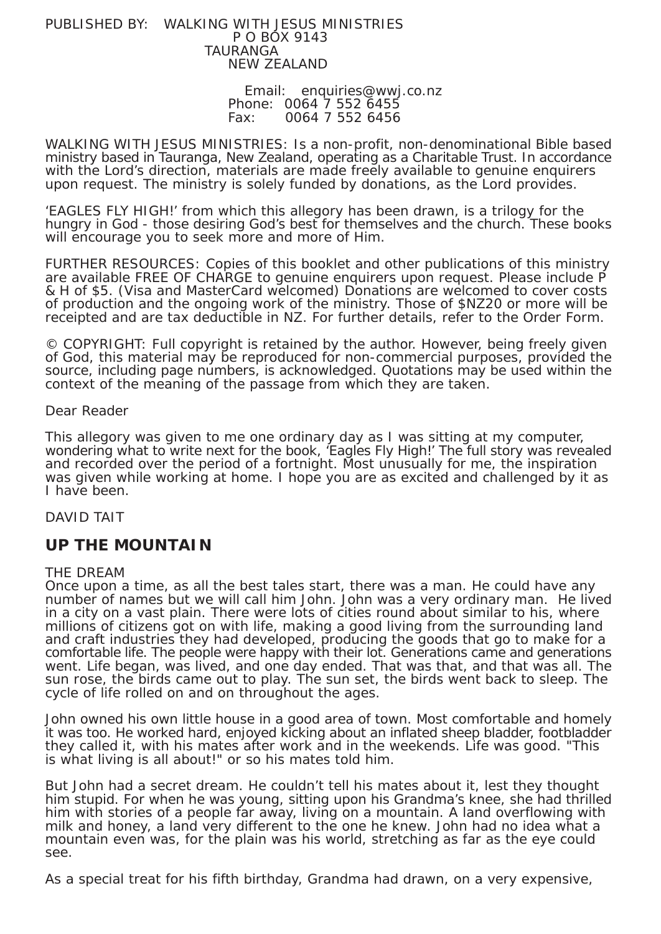#### PUBLISHED BY: WALKING WITH JESUS MINISTRIES P O BOX 9143 TAURANGA NEW ZEALAND

 Email: enquiries@wwj.co.nz Phone: 0064 7 552 6455 Fax: 0064 7 552 6456

WALKING WITH JESUS MINISTRIES: Is a non-profit, non-denominational Bible based ministry based in Tauranga, New Zealand, operating as a Charitable Trust. In accordance with the Lord's direction, materials are made freely available to genuine enquirers upon request. The ministry is solely funded by donations, as the Lord provides.

'EAGLES FLY HIGH!' from which this allegory has been drawn, is a trilogy for the hungry in God - those desiring God's best for themselves and the church. These books will encourage you to seek more and more of Him.

FURTHER RESOURCES: Copies of this booklet and other publications of this ministry are available FREE OF CHARGE to genuine enquirers upon request. Please include P & H of \$5. (Visa and MasterCard welcomed) Donations are welcomed to cover costs of production and the ongoing work of the ministry. Those of \$NZ20 or more will be receipted and are tax deductible in NZ. For further details, refer to the Order Form.

© COPYRIGHT: Full copyright is retained by the author. However, being freely given of God, this material may be reproduced for non-commercial purposes, provided the source, including page numbers, is acknowledged. Quotations may be used within the context of the meaning of the passage from which they are taken.

## Dear Reader

This allegory was given to me one ordinary day as I was sitting at my computer, wondering what to write next for the book, 'Eagles Fly High!' The full story was revealed and recorded over the period of a fortnight. Most unusually for me, the inspiration was given while working at home. I hope you are as excited and challenged by it as I have been.

## DAVID TAIT

## **UP THE MOUNTAIN**

#### THE DREAM

Once upon a time, as all the best tales start, there was a man. He could have any number of names but we will call him John. John was a very ordinary man. He lived in a city on a vast plain. There were lots of cities round about similar to his, where millions of citizens got on with life, making a good living from the surrounding land and craft industries they had developed, producing the goods that go to make for a comfortable life. The people were happy with their lot. Generations came and generations went. Life began, was lived, and one day ended. That was that, and that was all. The sun rose, the birds came out to play. The sun set, the birds went back to sleep. The cycle of life rolled on and on throughout the ages.

John owned his own little house in a good area of town. Most comfortable and homely it was too. He worked hard, enjoyed kicking about an inflated sheep bladder, footbladder they called it, with his mates after work and in the weekends. Life was good. "This is what living is all about!" or so his mates told him.

But John had a secret dream. He couldn't tell his mates about it, lest they thought him stupid. For when he was young, sitting upon his Grandma's knee, she had thrilled him with stories of a people far away, living on a mountain. A land overflowing with milk and honey, a land very different to the one he knew. John had no idea what a mountain even was, for the plain was his world, stretching as far as the eye could see.

As a special treat for his fifth birthday, Grandma had drawn, on a very expensive,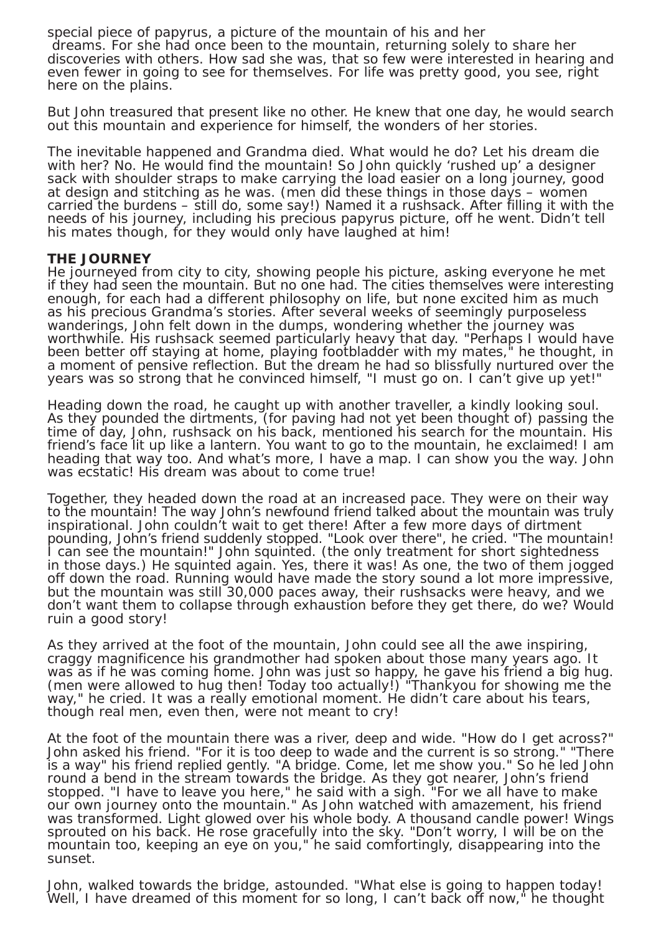special piece of papyrus, a picture of the mountain of his and her dreams. For she had once been to the mountain, returning solely to share her discoveries with others. How sad she was, that so few were interested in hearing and even fewer in going to see for themselves. For life was pretty good, you see, right here on the plains.

But John treasured that present like no other. He knew that one day, he would search out this mountain and experience for himself, the wonders of her stories.

The inevitable happened and Grandma died. What would he do? Let his dream die with her? No. He would find the mountain! So John quickly 'rushed up' a designer sack with shoulder straps to make carrying the load easier on a long journey, good at design and stitching as he was. (men did these things in those days – women carried the burdens – still do, some say!) Named it a rushsack. After filling it with the needs of his journey, including his precious papyrus picture, off he went. Didn't tell his mates though, for they would only have laughed at him!

### **THE JOURNEY**

He journeyed from city to city, showing people his picture, asking everyone he met if they had seen the mountain. But no one had. The cities themselves were interesting enough, for each had a different philosophy on life, but none excited him as much as his precious Grandma's stories. After several weeks of seemingly purposeless wanderings, John felt down in the dumps, wondering whether the journey was worthwhile. His rushsack seemed particularly heavy that day. "Perhaps I would have been better off staying at home, playing footbladder with my mates," he thought, in a moment of pensive reflection. But the dream he had so blissfully nurtured over the years was so strong that he convinced himself, "I must go on. I can't give up yet!"

Heading down the road, he caught up with another traveller, a kindly looking soul. As they pounded the dirtments, (for paving had not yet been thought of) passing the time of day, John, rushsack on his back, mentioned his search for the mountain. His friend's face lit up like a lantern. You want to go to the mountain, he exclaimed! I am heading that way too. And what's more, I have a map. I can show you the way. John was ecstatic! His dream was about to come true!

Together, they headed down the road at an increased pace. They were on their way to the mountain! The way John's newfound friend talked about the mountain was truly inspirational. John couldn't wait to get there! After a few more days of dirtment pounding, John's friend suddenly stopped. "Look over there", he cried. "The mountain! I can see the mountain!" John squinted. (the only treatment for short sightedness in those days.) He squinted again. Yes, there it was! As one, the two of them jogged off down the road. Running would have made the story sound a lot more impressive, but the mountain was still 30,000 paces away, their rushsacks were heavy, and we don't want them to collapse through exhaustion before they get there, do we? Would ruin a good story!

As they arrived at the foot of the mountain, John could see all the awe inspiring, craggy magnificence his grandmother had spoken about those many years ago. It was as if he was coming home. John was just so happy, he gave his friend a big hug. (men were allowed to hug then! Today too actually!) "Thankyou for showing me the way," he cried. It was a really emotional moment. He didn't care about his tears, though real men, even then, were not meant to cry!

At the foot of the mountain there was a river, deep and wide. "How do I get across?" John asked his friend. "For it is too deep to wade and the current is so strong." "There is a way" his friend replied gently. "A bridge. Come, let me show you." So he led John round a bend in the stream towards the bridge. As they got nearer, John's friend stopped. "I have to leave you here," he said with a sigh. "For we all have to make our own journey onto the mountain." As John watched with amazement, his friend was transformed. Light glowed over his whole body. A thousand candle power! Wings sprouted on his back. He rose gracefully into the sky. "Don't worry, I will be on the mountain too, keeping an eye on you," he said comfortingly, disappearing into the sunset.

John, walked towards the bridge, astounded. "What else is going to happen today! Well, I have dreamed of this moment for so long, I can't back off now," he thought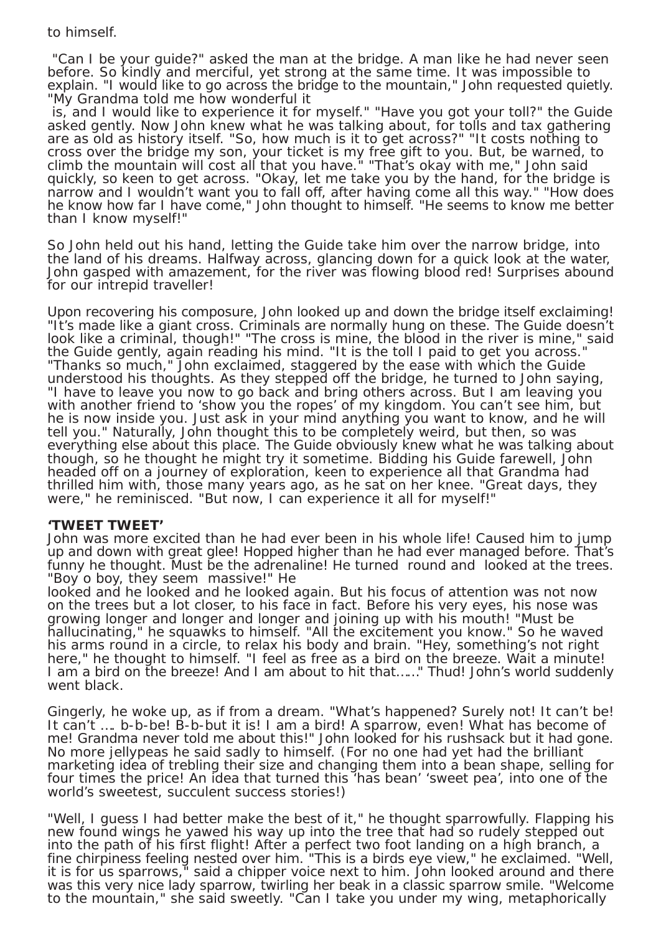# to himself.

 "Can I be your guide?" asked the man at the bridge. A man like he had never seen before. So kindly and merciful, yet strong at the same time. It was impossible to explain. "I would like to go across the bridge to the mountain," John requested quietly. "My Grandma told me how wonderful it

 is, and I would like to experience it for myself." "Have you got your toll?" the Guide asked gently. Now John knew what he was talking about, for tolls and tax gathering are as old as history itself. "So, how much is it to get across?" "It costs nothing to cross over the bridge my son, your ticket is my free gift to you. But, be warned, to climb the mountain will cost all that you have." "That's okay with me," John said quickly, so keen to get across. "Okay, let me take you by the hand, for the bridge is narrow and I wouldn't want you to fall off, after having come all this way." "How does he know how far I have come," John thought to himself. "He seems to know me better than I know myself!"

So John held out his hand, letting the Guide take him over the narrow bridge, into the land of his dreams. Halfway across, glancing down for a quick look at the water, John gasped with amazement, for the river was flowing blood red! Surprises abound for our intrepid traveller!

Upon recovering his composure, John looked up and down the bridge itself exclaiming! "It's made like a giant cross. Criminals are normally hung on these. The Guide doesn't look like a criminal, though!" "The cross is mine, the blood in the river is mine," said the Guide gently, again reading his mind. "It is the toll I paid to get you across." "Thanks so much," John exclaimed, staggered by the ease with which the Guide understood his thoughts. As they stepped off the bridge, he turned to John saying, "I have to leave you now to go back and bring others across. But I am leaving you with another friend to 'show you the ropes' of my kingdom. You can't see him, but he is now inside you. Just ask in your mind anything you want to know, and he will tell you." Naturally, John thought this to be completely weird, but then, so was everything else about this place. The Guide obviously knew what he was talking about though, so he thought he might try it sometime. Bidding his Guide farewell, John headed off on a journey of exploration, keen to experience all that Grandma had thrilled him with, those many years ago, as he sat on her knee. "Great days, they were," he reminisced. "But now, I can experience it all for myself!"

## **'TWEET TWEET'**

John was more excited than he had ever been in his whole life! Caused him to jump up and down with great glee! Hopped higher than he had ever managed before. That's funny he thought. Must be the adrenaline! He turned round and looked at the trees. "Boy o boy, they seem massive!" He

looked and he looked and he looked again. But his focus of attention was not now on the trees but a lot closer, to his face in fact. Before his very eyes, his nose was growing longer and longer and longer and joining up with his mouth! "Must be hallucinating," he squawks to himself. "All the excitement you know." So he waved his arms round in a circle, to relax his body and brain. "Hey, something's not right here," he thought to himself. "I feel as free as a bird on the breeze. Wait a minute! I am a bird on the breeze! And I am about to hit that……" Thud! John's world suddenly went black.

Gingerly, he woke up, as if from a dream. "What's happened? Surely not! It can't be! It can't …. b-b-be! B-b-but it is! I am a bird! A sparrow, even! What has become of me! Grandma never told me about this!" John looked for his rushsack but it had gone. No more jellypeas he said sadly to himself. (For no one had yet had the brilliant marketing idea of trebling their size and changing them into a bean shape, selling for four times the price! An idea that turned this 'has bean' 'sweet pea', into one of the world's sweetest, succulent success stories!)

"Well, I guess I had better make the best of it," he thought sparrowfully. Flapping his new found wings he yawed his way up into the tree that had so rudely stepped out into the path of his first flight! After a perfect two foot landing on a high branch, a fine chirpiness feeling nested over him. "This is a birds eye view," he exclaimed. "Well, it is for us sparrows," said a chipper voice next to him. John looked around and there was this very nice lady sparrow, twirling her beak in a classic sparrow smile. "Welcome to the mountain," she said sweetly. "Can I take you under my wing, metaphorically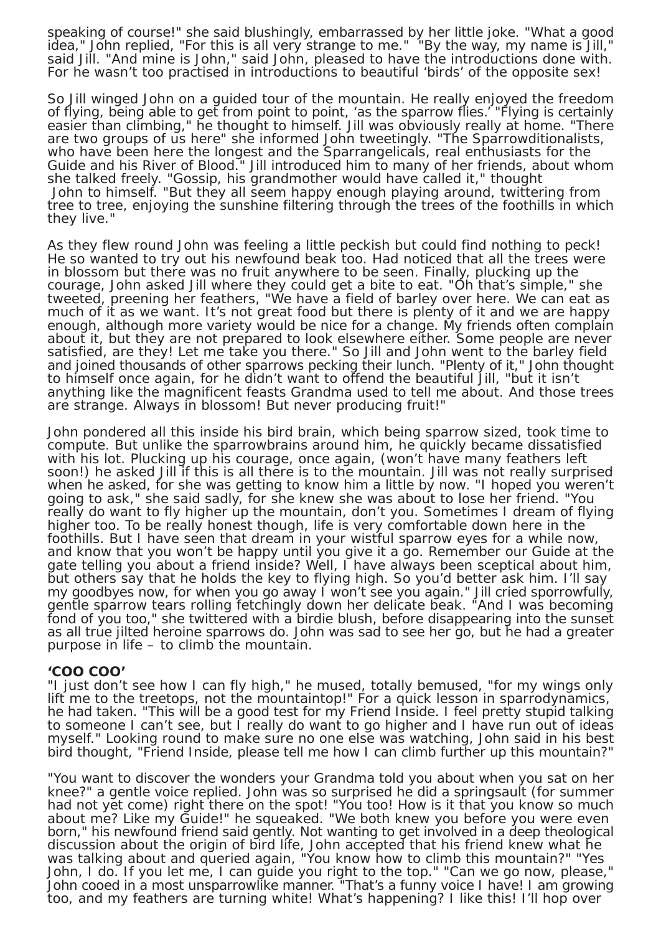speaking of course!" she said blushingly, embarrassed by her little joke. "What a good idea," John replied, "For this is all very strange to me." "By the way, my name is Jill," said Jill. "And mine is John," said John, pleased to have the introductions done with. For he wasn't too practised in introductions to beautiful 'birds' of the opposite sex!

So Jill winged John on a guided tour of the mountain. He really enjoyed the freedom of flying, being able to get from point to point, 'as the sparrow flies.' "Flying is certainly easier than climbing," he thought to himself. Jill was obviously really at home. "There are two groups of us here" she informed John tweetingly. "The Sparrowditionalists, who have been here the longest and the Sparrangelicals, real enthusiasts for the Guide and his River of Blood." Jill introduced him to many of her friends, about whom she talked freely. "Gossip, his grandmother would have called it," thought John to himself. "But they all seem happy enough playing around, twittering from tree to tree, enjoying the sunshine filtering through the trees of the foothills in which they live."

As they flew round John was feeling a little peckish but could find nothing to peck! He so wanted to try out his newfound beak too. Had noticed that all the trees were in blossom but there was no fruit anywhere to be seen. Finally, plucking up the courage, John asked Jill where they could get a bite to eat. "Oh that's simple," she tweeted, preening her feathers, "We have a field of barley over here. We can eat as much of it as we want. It's not great food but there is plenty of it and we are happy enough, although more variety would be nice for a change. My friends often complain about it, but they are not prepared to look elsewhere either. Some people are never satisfied, are they! Let me take you there." So Jill and John went to the barley field and joined thousands of other sparrows pecking their lunch. "Plenty of it," John thought to himself once again, for he didn't want to offend the beautiful Jill, "but it isn't anything like the magnificent feasts Grandma used to tell me about. And those trees are strange. Always in blossom! But never producing fruit!"

John pondered all this inside his bird brain, which being sparrow sized, took time to compute. But unlike the sparrowbrains around him, he quickly became dissatisfied with his lot. Plucking up his courage, once again, (won't have many feathers left soon!) he asked Jill if this is all there is to the mountain. Jill was not really surprised when he asked, for she was getting to know him a little by now. "I hoped you weren't going to ask," she said sadly, for she knew she was about to lose her friend. "You really do want to fly higher up the mountain, don't you. Sometimes I dream of flying higher too. To be really honest though, life is very comfortable down here in the foothills. But I have seen that dream in your wistful sparrow eyes for a while now, and know that you won't be happy until you give it a go. Remember our Guide at the gate telling you about a friend inside? Well, I have always been sceptical about him, but others say that he holds the key to flying high. So you'd better ask him. I'll say my goodbyes now, for when you go away I won't see you again." Jill cried sporrowfully, gentle sparrow tears rolling fetchingly down her delicate beak. "And I was becoming fond of you too," she twittered with a birdie blush, before disappearing into the sunset as all true jilted heroine sparrows do. John was sad to see her go, but he had a greater purpose in life – to climb the mountain.

#### **'COO COO'**

"I just don't see how I can fly high," he mused, totally bemused, "for my wings only lift me to the treetops, not the mountaintop!" For a quick lesson in sparrodynamics, he had taken. "This will be a good test for my Friend Inside. I feel pretty stupid talking to someone I can't see, but I really do want to go higher and I have run out of ideas myself." Looking round to make sure no one else was watching, John said in his best bird thought, "Friend Inside, please tell me how I can climb further up this mountain?"

"You want to discover the wonders your Grandma told you about when you sat on her knee?" a gentle voice replied. John was so surprised he did a springsault (for summer had not yet come) right there on the spot! "You too! How is it that you know so much about me? Like my Guide!" he squeaked. "We both knew you before you were even born," his newfound friend said gently. Not wanting to get involved in a deep theological discussion about the origin of bird life, John accepted that his friend knew what he was talking about and queried again, "You know how to climb this mountain?" "Yes John, I do. If you let me, I can guide you right to the top." "Can we go now, please," John cooed in a most unsparrowlike manner. "That's a funny voice I have! I am growing too, and my feathers are turning white! What's happening? I like this! I'll hop over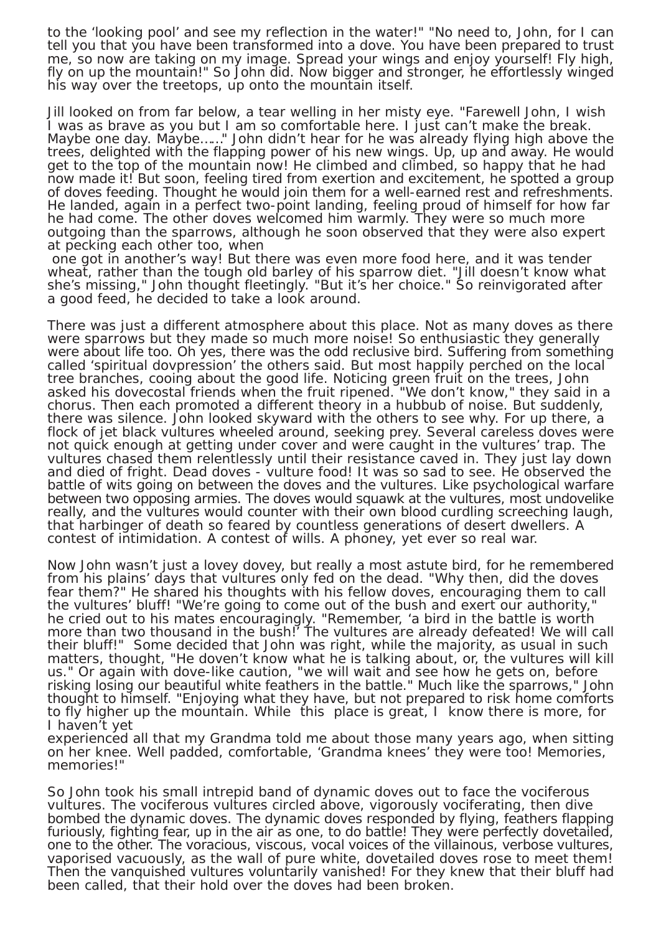to the 'looking pool' and see my reflection in the water!" "No need to, John, for I can tell you that you have been transformed into a dove. You have been prepared to trust me, so now are taking on my image. Spread your wings and enjoy yourself! Fly high, fly on up the mountain!" So John did. Now bigger and stronger, he effortlessly winged his way over the treetops, up onto the mountain itself.

Jill looked on from far below, a tear welling in her misty eye. "Farewell John, I wish I was as brave as you but I am so comfortable here. I just can't make the break. Maybe one day. Maybe......" John didn't hear for he was already flying high above the trees, delighted with the flapping power of his new wings. Up, up and away. He would get to the top of the mountain now! He climbed and climbed, so happy that he had now made it! But soon, feeling tired from exertion and excitement, he spotted a group of doves feeding. Thought he would join them for a well-earned rest and refreshments. He landed, again in a perfect two-point landing, feeling proud of himself for how far he had come. The other doves welcomed him warmly. They were so much more outgoing than the sparrows, although he soon observed that they were also expert at pecking each other too, when

 one got in another's way! But there was even more food here, and it was tender wheat, rather than the tough old barley of his sparrow diet. "Jill doesn't know what she's missing," John thought fleetingly. "But it's her choice." So reinvigorated after a good feed, he decided to take a look around.

There was just a different atmosphere about this place. Not as many doves as there were sparrows but they made so much more noise! So enthusiastic they generally were about life too. Oh yes, there was the odd reclusive bird. Suffering from something called 'spiritual dovpression' the others said. But most happily perched on the local tree branches, cooing about the good life. Noticing green fruit on the trees, John asked his dovecostal friends when the fruit ripened. "We don't know," they said in a chorus. Then each promoted a different theory in a hubbub of noise. But suddenly, there was silence. John looked skyward with the others to see why. For up there, a flock of jet black vultures wheeled around, seeking prey. Several careless doves were not quick enough at getting under cover and were caught in the vultures' trap. The vultures chased them relentlessly until their resistance caved in. They just lay down and died of fright. Dead doves - vulture food! It was so sad to see. He observed the battle of wits going on between the doves and the vultures. Like psychological warfare between two opposing armies. The doves would squawk at the vultures, most undovelike really, and the vultures would counter with their own blood curdling screeching laugh, that harbinger of death so feared by countless generations of desert dwellers. A contest of intimidation. A contest of wills. A phoney, yet ever so real war.

Now John wasn't just a lovey dovey, but really a most astute bird, for he remembered from his plains' days that vultures only fed on the dead. "Why then, did the doves fear them?" He shared his thoughts with his fellow doves, encouraging them to call the vultures' bluff! "We're going to come out of the bush and exert our authority," he cried out to his mates encouragingly. "Remember, 'a bird in the battle is worth more than two thousand in the bush!' The vultures are already defeated! We will call their bluff!" Some decided that John was right, while the majority, as usual in such matters, thought, "He doven't know what he is talking about, or, the vultures will kill us." Or again with dove-like caution, "we will wait and see how he gets on, before risking losing our beautiful white feathers in the battle." Much like the sparrows," John thought to himself. "Enjoying what they have, but not prepared to risk home comforts to fly higher up the mountain. While this place is great, I know there is more, for I haven't yet

experienced all that my Grandma told me about those many years ago, when sitting on her knee. Well padded, comfortable, 'Grandma knees' they were too! Memories, memories!"

So John took his small intrepid band of dynamic doves out to face the vociferous vultures. The vociferous vultures circled above, vigorously vociferating, then dive bombed the dynamic doves. The dynamic doves responded by flying, feathers flapping furiously, fighting fear, up in the air as one, to do battle! They were perfectly dovetailed, one to the other. The voracious, viscous, vocal voices of the villainous, verbose vultures, vaporised vacuously, as the wall of pure white, dovetailed doves rose to meet them! Then the vanquished vultures voluntarily vanished! For they knew that their bluff had been called, that their hold over the doves had been broken.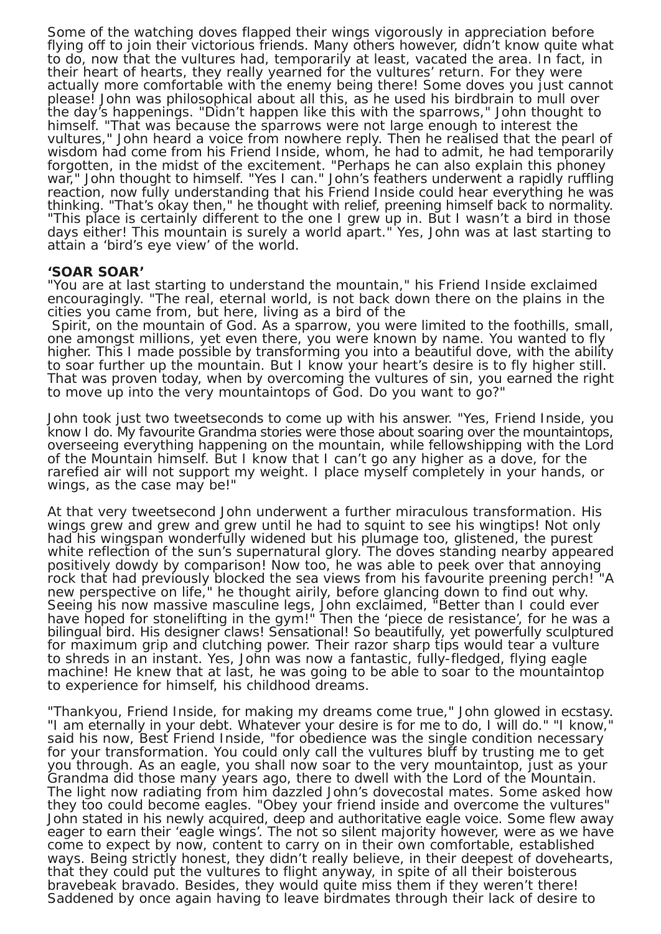Some of the watching doves flapped their wings vigorously in appreciation before flying off to join their victorious friends. Many others however, didn't know quite what to do, now that the vultures had, temporarily at least, vacated the area. In fact, in their heart of hearts, they really yearned for the vultures' return. For they were actually more comfortable with the enemy being there! Some doves you just cannot please! John was philosophical about all this, as he used his birdbrain to mull over the day's happenings. "Didn't happen like this with the sparrows," John thought to himself. "That was because the sparrows were not large enough to interest the vultures," John heard a voice from nowhere reply. Then he realised that the pearl of wisdom had come from his Friend Inside, whom, he had to admit, he had temporarily forgotten, in the midst of the excitement. "Perhaps he can also explain this phoney war," John thought to himself. "Yes I can." John's feathers underwent a rapidly ruffling reaction, now fully understanding that his Friend Inside could hear everything he was thinking. "That's okay then," he thought with relief, preening himself back to normality. "This place is certainly different to the one I grew up in. But I wasn't a bird in those days either! This mountain is surely a world apart." Yes, John was at last starting to attain a 'bird's eye view' of the world.

#### **'SOAR SOAR'**

"You are at last starting to understand the mountain," his Friend Inside exclaimed encouragingly. "The real, eternal world, is not back down there on the plains in the cities you came from, but here, living as a bird of the

 Spirit, on the mountain of God. As a sparrow, you were limited to the foothills, small, one amongst millions, yet even there, you were known by name. You wanted to fly higher. This I made possible by transforming you into a beautiful dove, with the ability to soar further up the mountain. But I know your heart's desire is to fly higher still. That was proven today, when by overcoming the vultures of sin, you earned the right to move up into the very mountaintops of God. Do you want to go?"

John took just two tweetseconds to come up with his answer. "Yes, Friend Inside, you know I do. My favourite Grandma stories were those about soaring over the mountaintops, overseeing everything happening on the mountain, while fellowshipping with the Lord of the Mountain himself. But I know that I can't go any higher as a dove, for the rarefied air will not support my weight. I place myself completely in your hands, or wings, as the case may be!"

At that very tweetsecond John underwent a further miraculous transformation. His wings grew and grew and grew until he had to squint to see his wingtips! Not only had his wingspan wonderfully widened but his plumage too, glistened, the purest white reflection of the sun's supernatural glory. The doves standing nearby appeared positively dowdy by comparison! Now too, he was able to peek over that annoying rock that had previously blocked the sea views from his favourite preening perch! "A new perspective on life," he thought airily, before glancing down to find out why. Seeing his now massive masculine legs, John exclaimed, "Better than I could ever have hoped for stonelifting in the gym!" Then the 'piece de resistance', for he was a bilingual bird. His designer claws! Sensational! So beautifully, yet powerfully sculptured for maximum grip and clutching power. Their razor sharp tips would tear a vulture to shreds in an instant. Yes, John was now a fantastic, fully-fledged, flying eagle machine! He knew that at last, he was going to be able to soar to the mountaintop to experience for himself, his childhood dreams.

"Thankyou, Friend Inside, for making my dreams come true," John glowed in ecstasy. "I am eternally in your debt. Whatever your desire is for me to do, I will do." "I know," said his now, Best Friend Inside, "for obedience was the single condition necessary for your transformation. You could only call the vultures bluff by trusting me to get you through. As an eagle, you shall now soar to the very mountaintop, just as your Grandma did those many years ago, there to dwell with the Lord of the Mountain. The light now radiating from him dazzled John's dovecostal mates. Some asked how they too could become eagles. "Obey your friend inside and overcome the vultures" John stated in his newly acquired, deep and authoritative eagle voice. Some flew away eager to earn their 'eagle wings'. The not so silent majority however, were as we have come to expect by now, content to carry on in their own comfortable, established ways. Being strictly honest, they didn't really believe, in their deepest of dovehearts, that they could put the vultures to flight anyway, in spite of all their boisterous bravebeak bravado. Besides, they would quite miss them if they weren't there! Saddened by once again having to leave birdmates through their lack of desire to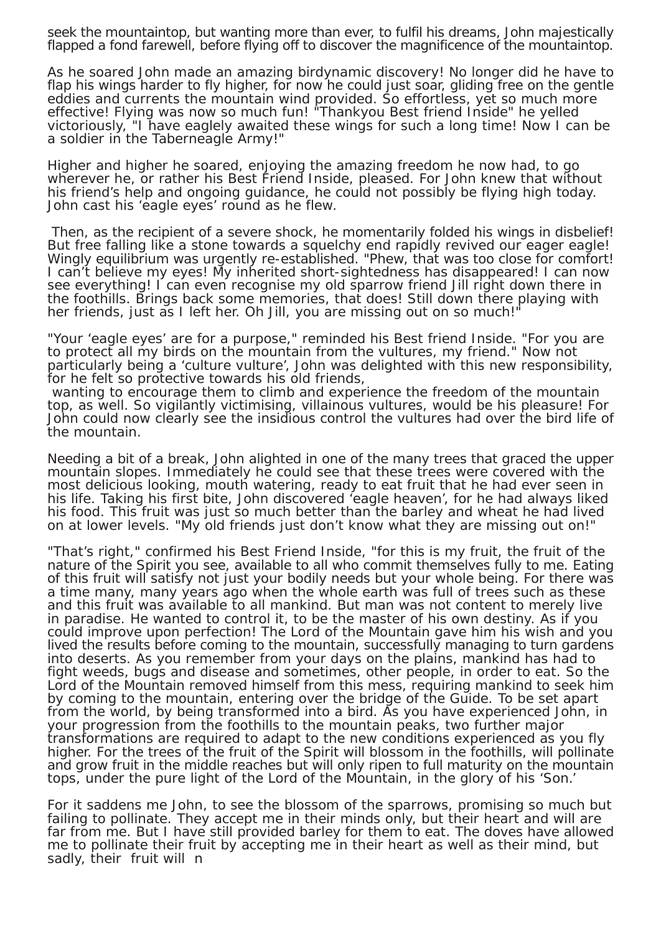seek the mountaintop, but wanting more than ever, to fulfil his dreams, John majestically flapped a fond farewell, before flying off to discover the magnificence of the mountaintop.

As he soared John made an amazing birdynamic discovery! No longer did he have to flap his wings harder to fly higher, for now he could just soar, gliding free on the gentle eddies and currents the mountain wind provided. So effortless, yet so much more effective! Flying was now so much fun! "Thankyou Best friend Inside" he yelled victoriously, "I have eaglely awaited these wings for such a long time! Now I can be a soldier in the Taberneagle Army!"

Higher and higher he soared, enjoying the amazing freedom he now had, to go wherever he, or rather his Best Friend Inside, pleased. For John knew that without his friend's help and ongoing guidance, he could not possibly be flying high today. John cast his 'eagle eyes' round as he flew.

 Then, as the recipient of a severe shock, he momentarily folded his wings in disbelief! But free falling like a stone towards a squelchy end rapidly revived our eager eagle! Wingly equilibrium was urgently re-established. "Phew, that was too close for comfort! I can't believe my eyes! My inherited short-sightedness has disappeared! I can now see everything! I can even recognise my old sparrow friend Jill right down there in the foothills. Brings back some memories, that does! Still down there playing with her friends, just as I left her. Oh Jill, you are missing out on so much!

"Your 'eagle eyes' are for a purpose," reminded his Best friend Inside. "For you are to protect all my birds on the mountain from the vultures, my friend." Now not particularly being a 'culture vulture', John was delighted with this new responsibility, for he felt so protective towards his old friends,

 wanting to encourage them to climb and experience the freedom of the mountain top, as well. So vigilantly victimising, villainous vultures, would be his pleasure! For John could now clearly see the insidious control the vultures had over the bird life of the mountain.

Needing a bit of a break, John alighted in one of the many trees that graced the upper mountain slopes. Immediately he could see that these trees were covered with the most delicious looking, mouth watering, ready to eat fruit that he had ever seen in his life. Taking his first bite, John discovered 'eagle heaven', for he had always liked his food. This fruit was just so much better than the barley and wheat he had lived on at lower levels. "My old friends just don't know what they are missing out on!"

"That's right," confirmed his Best Friend Inside, "for this is my fruit, the fruit of the nature of the Spirit you see, available to all who commit themselves fully to me. Eating of this fruit will satisfy not just your bodily needs but your whole being. For there was a time many, many years ago when the whole earth was full of trees such as these and this fruit was available to all mankind. But man was not content to merely live in paradise. He wanted to control it, to be the master of his own destiny. As if you could improve upon perfection! The Lord of the Mountain gave him his wish and you lived the results before coming to the mountain, successfully managing to turn gardens into deserts. As you remember from your days on the plains, mankind has had to fight weeds, bugs and disease and sometimes, other people, in order to eat. So the Lord of the Mountain removed himself from this mess, requiring mankind to seek him by coming to the mountain, entering over the bridge of the Guide. To be set apart from the world, by being transformed into a bird. As you have experienced John, in your progression from the foothills to the mountain peaks, two further major transformations are required to adapt to the new conditions experienced as you fly higher. For the trees of the fruit of the Spirit will blossom in the foothills, will pollinate and grow fruit in the middle reaches but will only ripen to full maturity on the mountain tops, under the pure light of the Lord of the Mountain, in the glory of his 'Son.'

For it saddens me John, to see the blossom of the sparrows, promising so much but failing to pollinate. They accept me in their minds only, but their heart and will are far from me. But I have still provided barley for them to eat. The doves have allowed me to pollinate their fruit by accepting me in their heart as well as their mind, but sadly, their fruit will n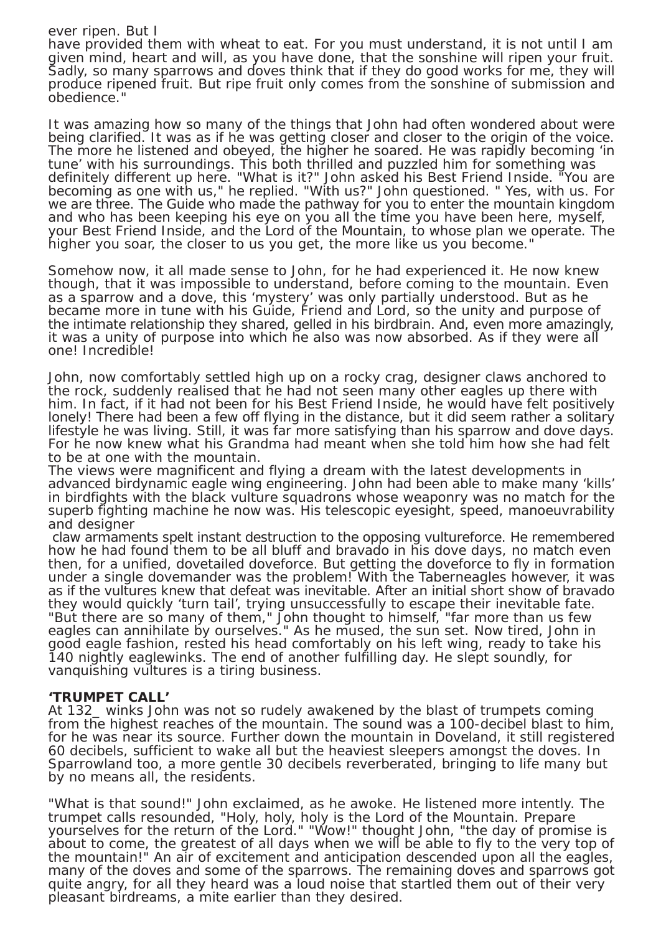### ever ripen. But I

have provided them with wheat to eat. For you must understand, it is not until I am given mind, heart and will, as you have done, that the sonshine will ripen your fruit. Sadly, so many sparrows and doves think that if they do good works for me, they will produce ripened fruit. But ripe fruit only comes from the sonshine of submission and obedience.

It was amazing how so many of the things that John had often wondered about were being clarified. It was as if he was getting closer and closer to the origin of the voice. The more he listened and obeyed, the higher he soared. He was rapidly becoming 'in tune' with his surroundings. This both thrilled and puzzled him for something was definitely different up here. "What is it?" John asked his Best Friend Inside. "You are becoming as one with us," he replied. "With us?" John questioned. " Yes, with us. For we are three. The Guide who made the pathway for you to enter the mountain kingdom and who has been keeping his eye on you all the time you have been here, myself, your Best Friend Inside, and the Lord of the Mountain, to whose plan we operate. The higher you soar, the closer to us you get, the more like us you become."

Somehow now, it all made sense to John, for he had experienced it. He now knew though, that it was impossible to understand, before coming to the mountain. Even as a sparrow and a dove, this 'mystery' was only partially understood. But as he became more in tune with his Guide, Friend and Lord, so the unity and purpose of the intimate relationship they shared, gelled in his birdbrain. And, even more amazingly, it was a unity of purpose into which he also was now absorbed. As if they were all one! Incredible!

John, now comfortably settled high up on a rocky crag, designer claws anchored to the rock, suddenly realised that he had not seen many other eagles up there with him. In fact, if it had not been for his Best Friend Inside, he would have felt positively lonely! There had been a few off flying in the distance, but it did seem rather a solitary lifestyle he was living. Still, it was far more satisfying than his sparrow and dove days. For he now knew what his Grandma had meant when she told him how she had felt to be at one with the mountain.

The views were magnificent and flying a dream with the latest developments in advanced birdynamic eagle wing engineering. John had been able to make many 'kills' in birdfights with the black vulture squadrons whose weaponry was no match for the superb fighting machine he now was. His telescopic eyesight, speed, manoeuvrability and designer

 claw armaments spelt instant destruction to the opposing vultureforce. He remembered how he had found them to be all bluff and bravado in his dove days, no match even then, for a unified, dovetailed doveforce. But getting the doveforce to fly in formation under a single dovemander was the problem! With the Taberneagles however, it was as if the vultures knew that defeat was inevitable. After an initial short show of bravado they would quickly 'turn tail', trying unsuccessfully to escape their inevitable fate. "But there are so many of them," John thought to himself, "far more than us few eagles can annihilate by ourselves." As he mused, the sun set. Now tired, John in good eagle fashion, rested his head comfortably on his left wing, ready to take his 140 nightly eaglewinks. The end of another fulfilling day. He slept soundly, for vanquishing vultures is a tiring business.

### **'TRUMPET CALL'**

At 132\_ winks John was not so rudely awakened by the blast of trumpets coming from the highest reaches of the mountain. The sound was a 100-decibel blast to him, for he was near its source. Further down the mountain in Doveland, it still registered 60 decibels, sufficient to wake all but the heaviest sleepers amongst the doves. In Sparrowland too, a more gentle 30 decibels reverberated, bringing to life many but by no means all, the residents.

"What is that sound!" John exclaimed, as he awoke. He listened more intently. The trumpet calls resounded, "Holy, holy, holy is the Lord of the Mountain. Prepare yourselves for the return of the Lord." "Wow!" thought John, "the day of promise is about to come, the greatest of all days when we will be able to fly to the very top of the mountain!" An air of excitement and anticipation descended upon all the eagles, many of the doves and some of the sparrows. The remaining doves and sparrows got quite angry, for all they heard was a loud noise that startled them out of their very pleasant birdreams, a mite earlier than they desired.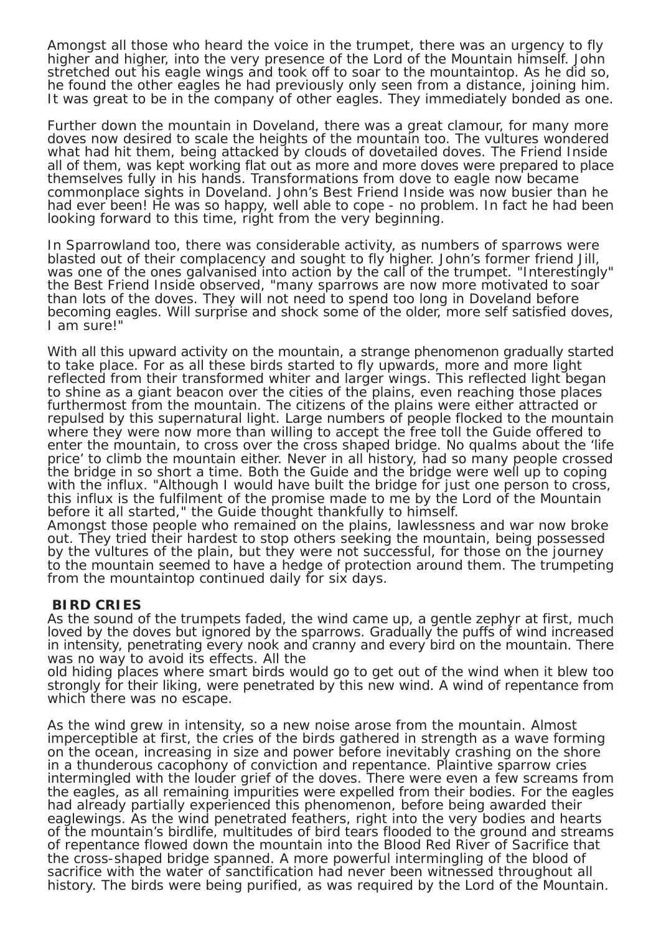Amongst all those who heard the voice in the trumpet, there was an urgency to fly higher and higher, into the very presence of the Lord of the Mountain himself. John stretched out his eagle wings and took off to soar to the mountaintop. As he did so, he found the other eagles he had previously only seen from a distance, joining him. It was great to be in the company of other eagles. They immediately bonded as one.

Further down the mountain in Doveland, there was a great clamour, for many more doves now desired to scale the heights of the mountain too. The vultures wondered what had hit them, being attacked by clouds of dovetailed doves. The Friend Inside all of them, was kept working flat out as more and more doves were prepared to place themselves fully in his hands. Transformations from dove to eagle now became commonplace sights in Doveland. John's Best Friend Inside was now busier than he had ever been! He was so happy, well able to cope - no problem. In fact he had been looking forward to this time, right from the very beginning.

In Sparrowland too, there was considerable activity, as numbers of sparrows were blasted out of their complacency and sought to fly higher. John's former friend Jill, was one of the ones galvanised into action by the call of the trumpet. "Interestingly" the Best Friend Inside observed, "many sparrows are now more motivated to soar than lots of the doves. They will not need to spend too long in Doveland before becoming eagles. Will surprise and shock some of the older, more self satisfied doves, I am sure!"

With all this upward activity on the mountain, a strange phenomenon gradually started to take place. For as all these birds started to fly upwards, more and more light reflected from their transformed whiter and larger wings. This reflected light began to shine as a giant beacon over the cities of the plains, even reaching those places furthermost from the mountain. The citizens of the plains were either attracted or repulsed by this supernatural light. Large numbers of people flocked to the mountain where they were now more than willing to accept the free toll the Guide offered to enter the mountain, to cross over the cross shaped bridge. No qualms about the 'life price' to climb the mountain either. Never in all history, had so many people crossed the bridge in so short a time. Both the Guide and the bridge were well up to coping with the influx. "Although I would have built the bridge for just one person to cross, this influx is the fulfilment of the promise made to me by the Lord of the Mountain before it all started," the Guide thought thankfully to himself.

Amongst those people who remained on the plains, lawlessness and war now broke out. They tried their hardest to stop others seeking the mountain, being possessed by the vultures of the plain, but they were not successful, for those on the journey to the mountain seemed to have a hedge of protection around them. The trumpeting from the mountaintop continued daily for six days.

## **BIRD CRIES**

As the sound of the trumpets faded, the wind came up, a gentle zephyr at first, much loved by the doves but ignored by the sparrows. Gradually the puffs of wind increased in intensity, penetrating every nook and cranny and every bird on the mountain. There was no way to avoid its effects. All the

old hiding places where smart birds would go to get out of the wind when it blew too strongly for their liking, were penetrated by this new wind. A wind of repentance from which there was no escape.

As the wind grew in intensity, so a new noise arose from the mountain. Almost imperceptible at first, the cries of the birds gathered in strength as a wave forming on the ocean, increasing in size and power before inevitably crashing on the shore in a thunderous cacophony of conviction and repentance. Plaintive sparrow cries intermingled with the louder grief of the doves. There were even a few screams from the eagles, as all remaining impurities were expelled from their bodies. For the eagles had already partially experienced this phenomenon, before being awarded their eaglewings. As the wind penetrated feathers, right into the very bodies and hearts of the mountain's birdlife, multitudes of bird tears flooded to the ground and streams of repentance flowed down the mountain into the Blood Red River of Sacrifice that the cross-shaped bridge spanned. A more powerful intermingling of the blood of sacrifice with the water of sanctification had never been witnessed throughout all history. The birds were being purified, as was required by the Lord of the Mountain.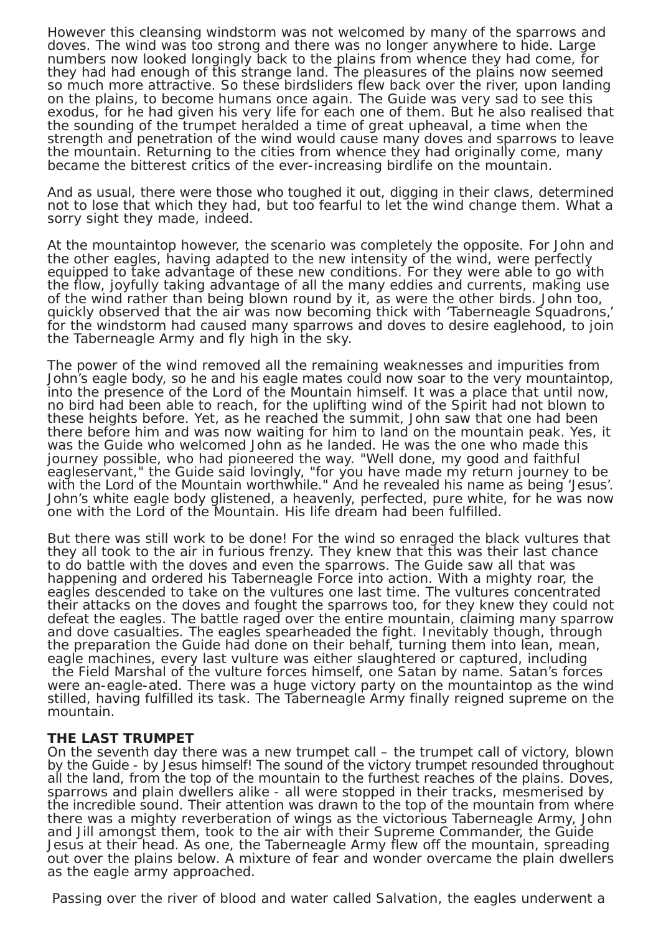However this cleansing windstorm was not welcomed by many of the sparrows and doves. The wind was too strong and there was no longer anywhere to hide. Large numbers now looked longingly back to the plains from whence they had come, for they had had enough of this strange land. The pleasures of the plains now seemed so much more attractive. So these birdsliders flew back over the river, upon landing on the plains, to become humans once again. The Guide was very sad to see this exodus, for he had given his very life for each one of them. But he also realised that the sounding of the trumpet heralded a time of great upheaval, a time when the strength and penetration of the wind would cause many doves and sparrows to leave the mountain. Returning to the cities from whence they had originally come, many became the bitterest critics of the ever-increasing birdlife on the mountain.

And as usual, there were those who toughed it out, digging in their claws, determined not to lose that which they had, but too fearful to let the wind change them. What a sorry sight they made, indeed.

At the mountaintop however, the scenario was completely the opposite. For John and the other eagles, having adapted to the new intensity of the wind, were perfectly equipped to take advantage of these new conditions. For they were able to go with the flow, joyfully taking advantage of all the many eddies and currents, making use of the wind rather than being blown round by it, as were the other birds. John too, quickly observed that the air was now becoming thick with 'Taberneagle Squadrons,' for the windstorm had caused many sparrows and doves to desire eaglehood, to join the Taberneagle Army and fly high in the sky.

The power of the wind removed all the remaining weaknesses and impurities from John's eagle body, so he and his eagle mates could now soar to the very mountaintop, into the presence of the Lord of the Mountain himself. It was a place that until now, no bird had been able to reach, for the uplifting wind of the Spirit had not blown to these heights before. Yet, as he reached the summit, John saw that one had been there before him and was now waiting for him to land on the mountain peak. Yes, it was the Guide who welcomed John as he landed. He was the one who made this journey possible, who had pioneered the way. "Well done, my good and faithful eagleservant," the Guide said lovingly, "for you have made my return journey to be with the Lord of the Mountain worthwhile." And he revealed his name as being 'Jesus'. John's white eagle body glistened, a heavenly, perfected, pure white, for he was now one with the Lord of the Mountain. His life dream had been fulfilled.

But there was still work to be done! For the wind so enraged the black vultures that they all took to the air in furious frenzy. They knew that this was their last chance to do battle with the doves and even the sparrows. The Guide saw all that was happening and ordered his Taberneagle Force into action. With a mighty roar, the eagles descended to take on the vultures one last time. The vultures concentrated their attacks on the doves and fought the sparrows too, for they knew they could not defeat the eagles. The battle raged over the entire mountain, claiming many sparrow and dove casualties. The eagles spearheaded the fight. Inevitably though, through the preparation the Guide had done on their behalf, turning them into lean, mean, eagle machines, every last vulture was either slaughtered or captured, including the Field Marshal of the vulture forces himself, one Satan by name. Satan's forces were an-eagle-ated. There was a huge victory party on the mountaintop as the wind stilled, having fulfilled its task. The Taberneagle Army finally reigned supreme on the mountain.

#### **THE LAST TRUMPET**

On the seventh day there was a new trumpet call – the trumpet call of victory, blown by the Guide - by Jesus himself! The sound of the victory trumpet resounded throughout all the land, from the top of the mountain to the furthest reaches of the plains. Doves, sparrows and plain dwellers alike - all were stopped in their tracks, mesmerised by the incredible sound. Their attention was drawn to the top of the mountain from where there was a mighty reverberation of wings as the victorious Taberneagle Army, John and Jill amongst them, took to the air with their Supreme Commander, the Guide Jesus at their head. As one, the Taberneagle Army flew off the mountain, spreading out over the plains below. A mixture of fear and wonder overcame the plain dwellers as the eagle army approached.

Passing over the river of blood and water called Salvation, the eagles underwent a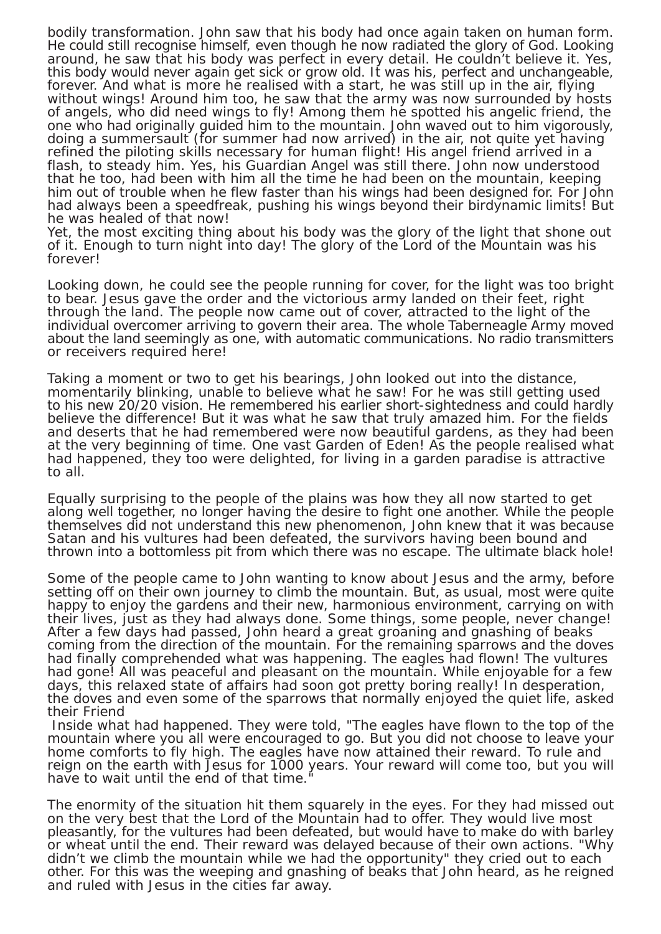bodily transformation. John saw that his body had once again taken on human form. He could still recognise himself, even though he now radiated the glory of God. Looking around, he saw that his body was perfect in every detail. He couldn't believe it. Yes, this body would never again get sick or grow old. It was his, perfect and unchangeable, forever. And what is more he realised with a start, he was still up in the air, flying without wings! Around him too, he saw that the army was now surrounded by hosts of angels, who did need wings to fly! Among them he spotted his angelic friend, the one who had originally guided him to the mountain. John waved out to him vigorously, doing a summersault (for summer had now arrived) in the air, not quite yet having refined the piloting skills necessary for human flight! His angel friend arrived in a flash, to steady him. Yes, his Guardian Angel was still there. John now understood that he too, had been with him all the time he had been on the mountain, keeping him out of trouble when he flew faster than his wings had been designed for. For John had always been a speedfreak, pushing his wings beyond their birdynamic limits! But he was healed of that now!

Yet, the most exciting thing about his body was the glory of the light that shone out of it. Enough to turn night into day! The glory of the Lord of the Mountain was his forever!

Looking down, he could see the people running for cover, for the light was too bright to bear. Jesus gave the order and the victorious army landed on their feet, right through the land. The people now came out of cover, attracted to the light of the individual overcomer arriving to govern their area. The whole Taberneagle Army moved about the land seemingly as one, with automatic communications. No radio transmitters or receivers required here!

Taking a moment or two to get his bearings, John looked out into the distance, momentarily blinking, unable to believe what he saw! For he was still getting used to his new 20/20 vision. He remembered his earlier short-sightedness and could hardly believe the difference! But it was what he saw that truly amazed him. For the fields and deserts that he had remembered were now beautiful gardens, as they had been at the very beginning of time. One vast Garden of Eden! As the people realised what had happened, they too were delighted, for living in a garden paradise is attractive to all.

Equally surprising to the people of the plains was how they all now started to get along well together, no longer having the desire to fight one another. While the people themselves did not understand this new phenomenon, John knew that it was because Satan and his vultures had been defeated, the survivors having been bound and thrown into a bottomless pit from which there was no escape. The ultimate black hole!

Some of the people came to John wanting to know about Jesus and the army, before setting off on their own journey to climb the mountain. But, as usual, most were quite happy to enjoy the gardens and their new, harmonious environment, carrying on with their lives, just as they had always done. Some things, some people, never change! After a few days had passed, John heard a great groaning and gnashing of beaks coming from the direction of the mountain. For the remaining sparrows and the doves had finally comprehended what was happening. The eagles had flown! The vultures had gone! All was peaceful and pleasant on the mountain. While enjoyable for a few days, this relaxed state of affairs had soon got pretty boring really! In desperation, the doves and even some of the sparrows that normally enjoyed the quiet life, asked their Friend

 Inside what had happened. They were told, "The eagles have flown to the top of the mountain where you all were encouraged to go. But you did not choose to leave your home comforts to fly high. The eagles have now attained their reward. To rule and reign on the earth with Jesus for 1000 years. Your reward will come too, but you will have to wait until the end of that time.

The enormity of the situation hit them squarely in the eyes. For they had missed out on the very best that the Lord of the Mountain had to offer. They would live most pleasantly, for the vultures had been defeated, but would have to make do with barley or wheat until the end. Their reward was delayed because of their own actions. "Why didn't we climb the mountain while we had the opportunity" they cried out to each other. For this was the weeping and gnashing of beaks that John heard, as he reigned and ruled with Jesus in the cities far away.